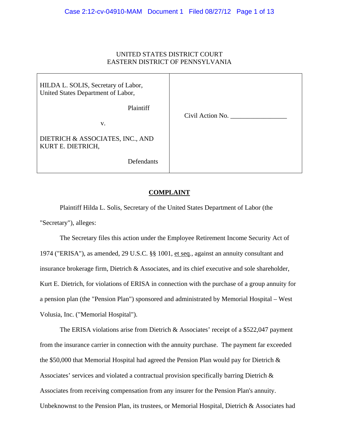# UNITED STATES DISTRICT COURT EASTERN DISTRICT OF PENNSYLVANIA

| HILDA L. SOLIS, Secretary of Labor,<br>United States Department of Labor, |                  |
|---------------------------------------------------------------------------|------------------|
| Plaintiff<br>V.                                                           | Civil Action No. |
| DIETRICH & ASSOCIATES, INC., AND<br>KURT E. DIETRICH,                     |                  |
| Defendants                                                                |                  |

# **COMPLAINT**

Plaintiff Hilda L. Solis, Secretary of the United States Department of Labor (the "Secretary"), alleges:

The Secretary files this action under the Employee Retirement Income Security Act of 1974 ("ERISA"), as amended, 29 U.S.C. §§ 1001, et seq*.*, against an annuity consultant and insurance brokerage firm, Dietrich & Associates, and its chief executive and sole shareholder, Kurt E. Dietrich, for violations of ERISA in connection with the purchase of a group annuity for a pension plan (the "Pension Plan") sponsored and administrated by Memorial Hospital – West Volusia, Inc. ("Memorial Hospital").

The ERISA violations arise from Dietrich & Associates' receipt of a \$522,047 payment from the insurance carrier in connection with the annuity purchase. The payment far exceeded the \$50,000 that Memorial Hospital had agreed the Pension Plan would pay for Dietrich & Associates' services and violated a contractual provision specifically barring Dietrich & Associates from receiving compensation from any insurer for the Pension Plan's annuity. Unbeknownst to the Pension Plan, its trustees, or Memorial Hospital, Dietrich & Associates had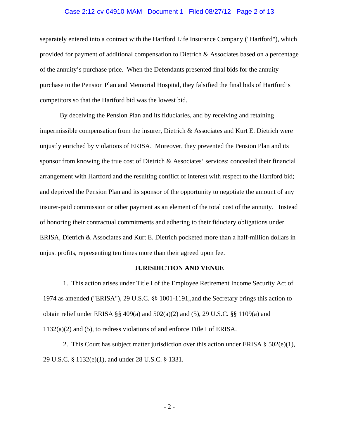#### Case 2:12-cv-04910-MAM Document 1 Filed 08/27/12 Page 2 of 13

separately entered into a contract with the Hartford Life Insurance Company ("Hartford"), which provided for payment of additional compensation to Dietrich & Associates based on a percentage of the annuity's purchase price. When the Defendants presented final bids for the annuity purchase to the Pension Plan and Memorial Hospital, they falsified the final bids of Hartford's competitors so that the Hartford bid was the lowest bid.

By deceiving the Pension Plan and its fiduciaries, and by receiving and retaining impermissible compensation from the insurer, Dietrich & Associates and Kurt E. Dietrich were unjustly enriched by violations of ERISA. Moreover, they prevented the Pension Plan and its sponsor from knowing the true cost of Dietrich & Associates' services; concealed their financial arrangement with Hartford and the resulting conflict of interest with respect to the Hartford bid; and deprived the Pension Plan and its sponsor of the opportunity to negotiate the amount of any insurer-paid commission or other payment as an element of the total cost of the annuity. Instead of honoring their contractual commitments and adhering to their fiduciary obligations under ERISA, Dietrich & Associates and Kurt E. Dietrich pocketed more than a half-million dollars in unjust profits, representing ten times more than their agreed upon fee.

## **JURISDICTION AND VENUE**

1. This action arises under Title I of the Employee Retirement Income Security Act of 1974 as amended ("ERISA"), 29 U.S.C. §§ 1001-1191,,and the Secretary brings this action to obtain relief under ERISA §§ 409(a) and 502(a)(2) and (5), 29 U.S.C. §§ 1109(a) and 1132(a)(2) and (5), to redress violations of and enforce Title I of ERISA.

2. This Court has subject matter jurisdiction over this action under ERISA  $\S 502(e)(1)$ , 29 U.S.C. § 1132(e)(1), and under 28 U.S.C. § 1331.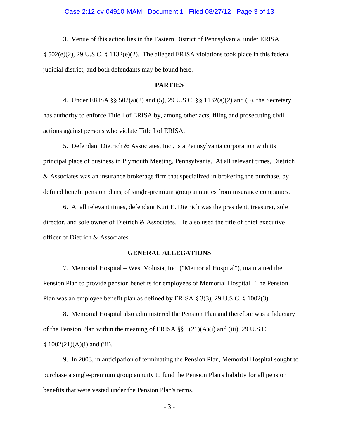3. Venue of this action lies in the Eastern District of Pennsylvania, under ERISA § 502(e)(2), 29 U.S.C. § 1132(e)(2). The alleged ERISA violations took place in this federal judicial district, and both defendants may be found here.

#### **PARTIES**

4. Under ERISA §§ 502(a)(2) and (5), 29 U.S.C. §§ 1132(a)(2) and (5), the Secretary has authority to enforce Title I of ERISA by, among other acts, filing and prosecuting civil actions against persons who violate Title I of ERISA.

5. Defendant Dietrich & Associates, Inc., is a Pennsylvania corporation with its principal place of business in Plymouth Meeting, Pennsylvania. At all relevant times, Dietrich & Associates was an insurance brokerage firm that specialized in brokering the purchase, by defined benefit pension plans, of single-premium group annuities from insurance companies.

6. At all relevant times, defendant Kurt E. Dietrich was the president, treasurer, sole director, and sole owner of Dietrich & Associates. He also used the title of chief executive officer of Dietrich & Associates.

#### **GENERAL ALLEGATIONS**

7. Memorial Hospital – West Volusia, Inc. ("Memorial Hospital"), maintained the Pension Plan to provide pension benefits for employees of Memorial Hospital. The Pension Plan was an employee benefit plan as defined by ERISA § 3(3), 29 U.S.C. § 1002(3).

8. Memorial Hospital also administered the Pension Plan and therefore was a fiduciary of the Pension Plan within the meaning of ERISA §§  $3(21)(A)(i)$  and (iii), 29 U.S.C.  $§ 1002(21)(A)(i)$  and (iii).

9. In 2003, in anticipation of terminating the Pension Plan, Memorial Hospital sought to purchase a single-premium group annuity to fund the Pension Plan's liability for all pension benefits that were vested under the Pension Plan's terms.

- 3 -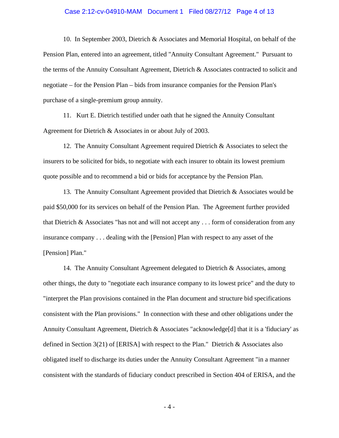## Case 2:12-cv-04910-MAM Document 1 Filed 08/27/12 Page 4 of 13

10. In September 2003, Dietrich & Associates and Memorial Hospital, on behalf of the Pension Plan, entered into an agreement, titled "Annuity Consultant Agreement." Pursuant to the terms of the Annuity Consultant Agreement, Dietrich & Associates contracted to solicit and negotiate – for the Pension Plan – bids from insurance companies for the Pension Plan's purchase of a single-premium group annuity.

11. Kurt E. Dietrich testified under oath that he signed the Annuity Consultant Agreement for Dietrich & Associates in or about July of 2003.

12. The Annuity Consultant Agreement required Dietrich & Associates to select the insurers to be solicited for bids, to negotiate with each insurer to obtain its lowest premium quote possible and to recommend a bid or bids for acceptance by the Pension Plan.

13. The Annuity Consultant Agreement provided that Dietrich & Associates would be paid \$50,000 for its services on behalf of the Pension Plan. The Agreement further provided that Dietrich & Associates "has not and will not accept any . . . form of consideration from any insurance company . . . dealing with the [Pension] Plan with respect to any asset of the [Pension] Plan."

14. The Annuity Consultant Agreement delegated to Dietrich & Associates, among other things, the duty to "negotiate each insurance company to its lowest price" and the duty to "interpret the Plan provisions contained in the Plan document and structure bid specifications consistent with the Plan provisions." In connection with these and other obligations under the Annuity Consultant Agreement, Dietrich & Associates "acknowledge[d] that it is a 'fiduciary' as defined in Section 3(21) of [ERISA] with respect to the Plan." Dietrich & Associates also obligated itself to discharge its duties under the Annuity Consultant Agreement "in a manner consistent with the standards of fiduciary conduct prescribed in Section 404 of ERISA, and the

- 4 -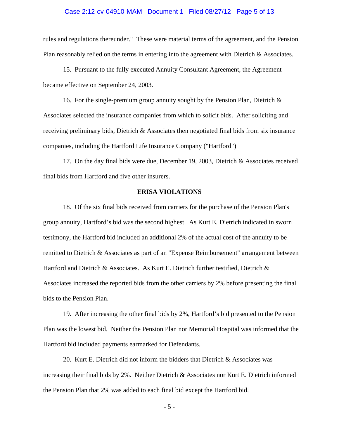## Case 2:12-cv-04910-MAM Document 1 Filed 08/27/12 Page 5 of 13

rules and regulations thereunder." These were material terms of the agreement, and the Pension Plan reasonably relied on the terms in entering into the agreement with Dietrich & Associates.

15. Pursuant to the fully executed Annuity Consultant Agreement, the Agreement became effective on September 24, 2003.

16. For the single-premium group annuity sought by the Pension Plan, Dietrich & Associates selected the insurance companies from which to solicit bids. After soliciting and receiving preliminary bids, Dietrich & Associates then negotiated final bids from six insurance companies, including the Hartford Life Insurance Company ("Hartford")

17. On the day final bids were due, December 19, 2003, Dietrich & Associates received final bids from Hartford and five other insurers.

# **ERISA VIOLATIONS**

18. Of the six final bids received from carriers for the purchase of the Pension Plan's group annuity, Hartford's bid was the second highest. As Kurt E. Dietrich indicated in sworn testimony, the Hartford bid included an additional 2% of the actual cost of the annuity to be remitted to Dietrich & Associates as part of an "Expense Reimbursement" arrangement between Hartford and Dietrich & Associates. As Kurt E. Dietrich further testified, Dietrich & Associates increased the reported bids from the other carriers by 2% before presenting the final bids to the Pension Plan.

19. After increasing the other final bids by 2%, Hartford's bid presented to the Pension Plan was the lowest bid. Neither the Pension Plan nor Memorial Hospital was informed that the Hartford bid included payments earmarked for Defendants.

20. Kurt E. Dietrich did not inform the bidders that Dietrich & Associates was increasing their final bids by 2%. Neither Dietrich & Associates nor Kurt E. Dietrich informed the Pension Plan that 2% was added to each final bid except the Hartford bid.

- 5 -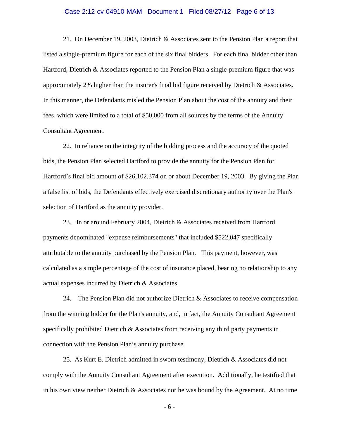## Case 2:12-cv-04910-MAM Document 1 Filed 08/27/12 Page 6 of 13

21. On December 19, 2003, Dietrich & Associates sent to the Pension Plan a report that listed a single-premium figure for each of the six final bidders. For each final bidder other than Hartford, Dietrich & Associates reported to the Pension Plan a single-premium figure that was approximately 2% higher than the insurer's final bid figure received by Dietrich & Associates. In this manner, the Defendants misled the Pension Plan about the cost of the annuity and their fees, which were limited to a total of \$50,000 from all sources by the terms of the Annuity Consultant Agreement.

22. In reliance on the integrity of the bidding process and the accuracy of the quoted bids, the Pension Plan selected Hartford to provide the annuity for the Pension Plan for Hartford's final bid amount of \$26,102,374 on or about December 19, 2003. By giving the Plan a false list of bids, the Defendants effectively exercised discretionary authority over the Plan's selection of Hartford as the annuity provider.

23. In or around February 2004, Dietrich & Associates received from Hartford payments denominated "expense reimbursements" that included \$522,047 specifically attributable to the annuity purchased by the Pension Plan. This payment, however, was calculated as a simple percentage of the cost of insurance placed, bearing no relationship to any actual expenses incurred by Dietrich & Associates.

24. The Pension Plan did not authorize Dietrich & Associates to receive compensation from the winning bidder for the Plan's annuity, and, in fact, the Annuity Consultant Agreement specifically prohibited Dietrich & Associates from receiving any third party payments in connection with the Pension Plan's annuity purchase.

25. As Kurt E. Dietrich admitted in sworn testimony, Dietrich & Associates did not comply with the Annuity Consultant Agreement after execution. Additionally, he testified that in his own view neither Dietrich & Associates nor he was bound by the Agreement. At no time

- 6 -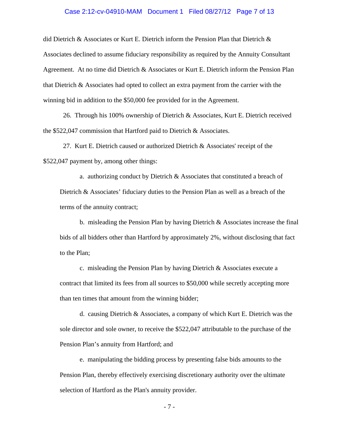## Case 2:12-cv-04910-MAM Document 1 Filed 08/27/12 Page 7 of 13

did Dietrich & Associates or Kurt E. Dietrich inform the Pension Plan that Dietrich & Associates declined to assume fiduciary responsibility as required by the Annuity Consultant Agreement. At no time did Dietrich & Associates or Kurt E. Dietrich inform the Pension Plan that Dietrich & Associates had opted to collect an extra payment from the carrier with the winning bid in addition to the \$50,000 fee provided for in the Agreement.

26. Through his 100% ownership of Dietrich & Associates, Kurt E. Dietrich received the \$522,047 commission that Hartford paid to Dietrich & Associates.

27. Kurt E. Dietrich caused or authorized Dietrich & Associates' receipt of the \$522,047 payment by, among other things:

a. authorizing conduct by Dietrich & Associates that constituted a breach of Dietrich & Associates' fiduciary duties to the Pension Plan as well as a breach of the terms of the annuity contract;

b. misleading the Pension Plan by having Dietrich & Associates increase the final bids of all bidders other than Hartford by approximately 2%, without disclosing that fact to the Plan;

c. misleading the Pension Plan by having Dietrich & Associates execute a contract that limited its fees from all sources to \$50,000 while secretly accepting more than ten times that amount from the winning bidder;

d. causing Dietrich & Associates, a company of which Kurt E. Dietrich was the sole director and sole owner, to receive the \$522,047 attributable to the purchase of the Pension Plan's annuity from Hartford; and

e. manipulating the bidding process by presenting false bids amounts to the Pension Plan, thereby effectively exercising discretionary authority over the ultimate selection of Hartford as the Plan's annuity provider.

- 7 -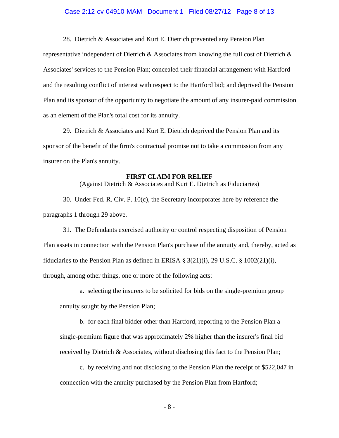## Case 2:12-cv-04910-MAM Document 1 Filed 08/27/12 Page 8 of 13

28. Dietrich & Associates and Kurt E. Dietrich prevented any Pension Plan

representative independent of Dietrich & Associates from knowing the full cost of Dietrich & Associates' services to the Pension Plan; concealed their financial arrangement with Hartford and the resulting conflict of interest with respect to the Hartford bid; and deprived the Pension Plan and its sponsor of the opportunity to negotiate the amount of any insurer-paid commission as an element of the Plan's total cost for its annuity.

29. Dietrich & Associates and Kurt E. Dietrich deprived the Pension Plan and its sponsor of the benefit of the firm's contractual promise not to take a commission from any insurer on the Plan's annuity.

## **FIRST CLAIM FOR RELIEF**

(Against Dietrich & Associates and Kurt E. Dietrich as Fiduciaries)

30. Under Fed. R. Civ. P. 10(c), the Secretary incorporates here by reference the paragraphs 1 through 29 above.

31. The Defendants exercised authority or control respecting disposition of Pension Plan assets in connection with the Pension Plan's purchase of the annuity and, thereby, acted as fiduciaries to the Pension Plan as defined in ERISA  $\S 3(21)(i)$ , 29 U.S.C.  $\S 1002(21)(i)$ , through, among other things, one or more of the following acts:

a. selecting the insurers to be solicited for bids on the single-premium group annuity sought by the Pension Plan;

b. for each final bidder other than Hartford, reporting to the Pension Plan a single-premium figure that was approximately 2% higher than the insurer's final bid received by Dietrich & Associates, without disclosing this fact to the Pension Plan;

c. by receiving and not disclosing to the Pension Plan the receipt of \$522,047 in connection with the annuity purchased by the Pension Plan from Hartford;

- 8 -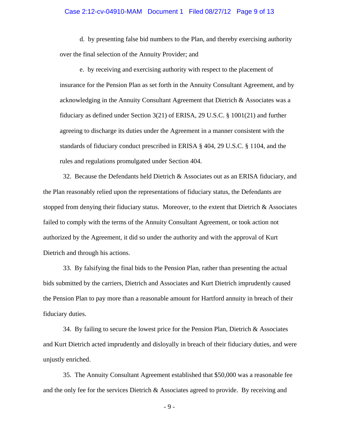## Case 2:12-cv-04910-MAM Document 1 Filed 08/27/12 Page 9 of 13

d. by presenting false bid numbers to the Plan, and thereby exercising authority over the final selection of the Annuity Provider; and

e. by receiving and exercising authority with respect to the placement of insurance for the Pension Plan as set forth in the Annuity Consultant Agreement, and by acknowledging in the Annuity Consultant Agreement that Dietrich & Associates was a fiduciary as defined under Section 3(21) of ERISA, 29 U.S.C. § 1001(21) and further agreeing to discharge its duties under the Agreement in a manner consistent with the standards of fiduciary conduct prescribed in ERISA § 404, 29 U.S.C. § 1104, and the rules and regulations promulgated under Section 404.

32. Because the Defendants held Dietrich & Associates out as an ERISA fiduciary, and the Plan reasonably relied upon the representations of fiduciary status, the Defendants are stopped from denying their fiduciary status. Moreover, to the extent that Dietrich & Associates failed to comply with the terms of the Annuity Consultant Agreement, or took action not authorized by the Agreement, it did so under the authority and with the approval of Kurt Dietrich and through his actions.

33. By falsifying the final bids to the Pension Plan, rather than presenting the actual bids submitted by the carriers, Dietrich and Associates and Kurt Dietrich imprudently caused the Pension Plan to pay more than a reasonable amount for Hartford annuity in breach of their fiduciary duties.

34. By failing to secure the lowest price for the Pension Plan, Dietrich & Associates and Kurt Dietrich acted imprudently and disloyally in breach of their fiduciary duties, and were unjustly enriched.

35. The Annuity Consultant Agreement established that \$50,000 was a reasonable fee and the only fee for the services Dietrich & Associates agreed to provide. By receiving and

- 9 -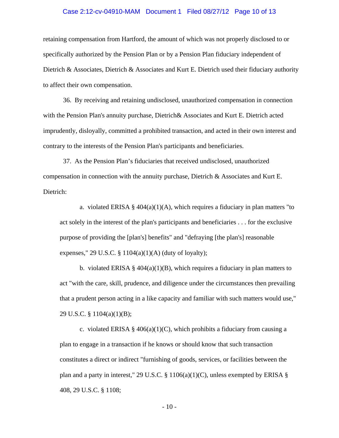#### Case 2:12-cv-04910-MAM Document 1 Filed 08/27/12 Page 10 of 13

retaining compensation from Hartford, the amount of which was not properly disclosed to or specifically authorized by the Pension Plan or by a Pension Plan fiduciary independent of Dietrich & Associates, Dietrich & Associates and Kurt E. Dietrich used their fiduciary authority to affect their own compensation.

36. By receiving and retaining undisclosed, unauthorized compensation in connection with the Pension Plan's annuity purchase, Dietrich& Associates and Kurt E. Dietrich acted imprudently, disloyally, committed a prohibited transaction, and acted in their own interest and contrary to the interests of the Pension Plan's participants and beneficiaries.

37. As the Pension Plan's fiduciaries that received undisclosed, unauthorized compensation in connection with the annuity purchase, Dietrich & Associates and Kurt E. Dietrich:

a. violated ERISA §  $404(a)(1)(A)$ , which requires a fiduciary in plan matters "to act solely in the interest of the plan's participants and beneficiaries . . . for the exclusive purpose of providing the [plan's] benefits" and "defraying [the plan's] reasonable expenses," 29 U.S.C. §  $1104(a)(1)(A)$  (duty of loyalty);

b. violated ERISA §  $404(a)(1)(B)$ , which requires a fiduciary in plan matters to act "with the care, skill, prudence, and diligence under the circumstances then prevailing that a prudent person acting in a like capacity and familiar with such matters would use," 29 U.S.C. § 1104(a)(1)(B);

c. violated ERISA §  $406(a)(1)(C)$ , which prohibits a fiduciary from causing a plan to engage in a transaction if he knows or should know that such transaction constitutes a direct or indirect "furnishing of goods, services, or facilities between the plan and a party in interest," 29 U.S.C. § 1106(a)(1)(C), unless exempted by ERISA § 408, 29 U.S.C. § 1108;

- 10 -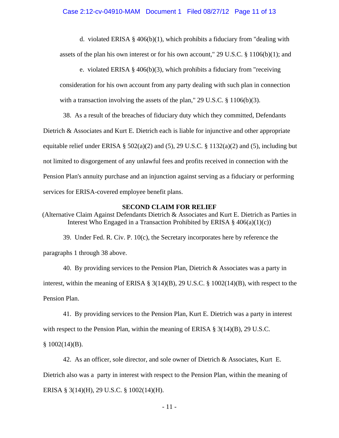d. violated ERISA §  $406(b)(1)$ , which prohibits a fiduciary from "dealing with assets of the plan his own interest or for his own account," 29 U.S.C. § 1106(b)(1); and

e. violated ERISA § 406(b)(3), which prohibits a fiduciary from "receiving

consideration for his own account from any party dealing with such plan in connection with a transaction involving the assets of the plan," 29 U.S.C. § 1106(b)(3).

38. As a result of the breaches of fiduciary duty which they committed, Defendants Dietrich & Associates and Kurt E. Dietrich each is liable for injunctive and other appropriate equitable relief under ERISA § 502(a)(2) and (5), 29 U.S.C. § 1132(a)(2) and (5), including but not limited to disgorgement of any unlawful fees and profits received in connection with the Pension Plan's annuity purchase and an injunction against serving as a fiduciary or performing services for ERISA-covered employee benefit plans.

# **SECOND CLAIM FOR RELIEF**

(Alternative Claim Against Defendants Dietrich & Associates and Kurt E. Dietrich as Parties in Interest Who Engaged in a Transaction Prohibited by ERISA  $\S$  406(a)(1)(c))

39. Under Fed. R. Civ. P. 10(c), the Secretary incorporates here by reference the paragraphs 1 through 38 above.

40. By providing services to the Pension Plan, Dietrich & Associates was a party in interest, within the meaning of ERISA §  $3(14)(B)$ , 29 U.S.C. § 1002(14)(B), with respect to the Pension Plan.

41. By providing services to the Pension Plan, Kurt E. Dietrich was a party in interest with respect to the Pension Plan, within the meaning of ERISA  $\S 3(14)(B)$ , 29 U.S.C.

 $$1002(14)(B).$ 

42. As an officer, sole director, and sole owner of Dietrich & Associates, Kurt E.

Dietrich also was a party in interest with respect to the Pension Plan, within the meaning of

ERISA § 3(14)(H), 29 U.S.C. § 1002(14)(H).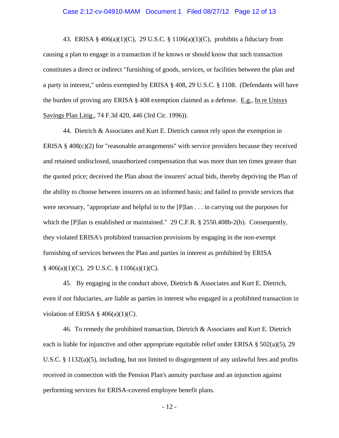#### Case 2:12-cv-04910-MAM Document 1 Filed 08/27/12 Page 12 of 13

43. ERISA §  $406(a)(1)(C)$ , 29 U.S.C. § 1106(a)(1)(C), prohibits a fiduciary from causing a plan to engage in a transaction if he knows or should know that such transaction constitutes a direct or indirect "furnishing of goods, services, or facilities between the plan and a party in interest," unless exempted by ERISA § 408, 29 U.S.C. § 1108. (Defendants will have the burden of proving any ERISA § 408 exemption claimed as a defense. E.g., In re Unisys Savings Plan Litig., 74 F.3d 420, 446 (3rd Cir. 1996)).

44. Dietrich & Associates and Kurt E. Dietrich cannot rely upon the exemption in ERISA § 408(c)(2) for "reasonable arrangements" with service providers because they received and retained undisclosed, unauthorized compensation that was more than ten times greater than the quoted price; deceived the Plan about the insurers' actual bids, thereby depriving the Plan of the ability to choose between insurers on an informed basis; and failed to provide services that were necessary, "appropriate and helpful in to the [P]lan . . . in carrying out the purposes for which the [P]lan is established or maintained." 29 C.F.R. § 2550.408b-2(b). Consequently, they violated ERISA's prohibited transaction provisions by engaging in the non-exempt furnishing of services between the Plan and parties in interest as prohibited by ERISA  $§$  406(a)(1)(C), 29 U.S.C. § 1106(a)(1)(C).

45. By engaging in the conduct above, Dietrich & Associates and Kurt E. Dietrich, even if not fiduciaries, are liable as parties in interest who engaged in a prohibited transaction in violation of ERISA  $\S$  406(a)(1)(C).

46. To remedy the prohibited transaction, Dietrich & Associates and Kurt E. Dietrich each is liable for injunctive and other appropriate equitable relief under ERISA  $\S$  502(a)(5), 29 U.S.C. § 1132(a)(5), including, but not limited to disgorgement of any unlawful fees and profits received in connection with the Pension Plan's annuity purchase and an injunction against performing services for ERISA-covered employee benefit plans.

- 12 -